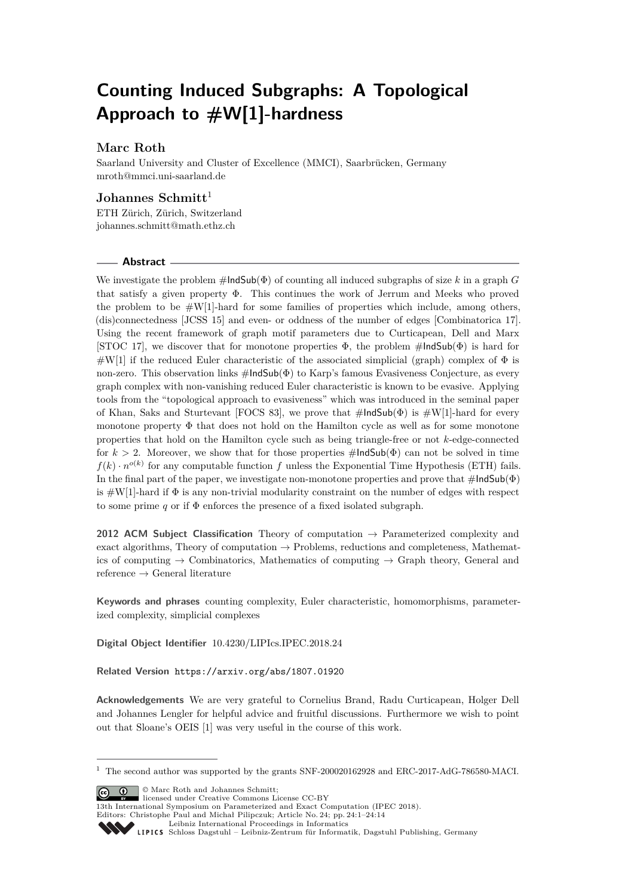# **Counting Induced Subgraphs: A Topological Approach to #W[1]-hardness**

# **Marc Roth**

Saarland University and Cluster of Excellence (MMCI), Saarbrücken, Germany [mroth@mmci.uni-saarland.de](mailto:mroth@mmci.uni-saarland.de)

# **Johannes Schmitt**<sup>1</sup>

ETH Zürich, Zürich, Switzerland [johannes.schmitt@math.ethz.ch](mailto:johannes.schmitt@math.ethz.ch)

## **Abstract**

We investigate the problem  $\#$ **IndSub**( $\Phi$ ) of counting all induced subgraphs of size k in a graph G that satisfy a given property Φ. This continues the work of Jerrum and Meeks who proved the problem to be  $#W[1]$ -hard for some families of properties which include, among others, (dis)connectedness [JCSS 15] and even- or oddness of the number of edges [Combinatorica 17]. Using the recent framework of graph motif parameters due to Curticapean, Dell and Marx [STOC 17], we discover that for monotone properties  $\Phi$ , the problem  $\#$ IndSub( $\Phi$ ) is hard for  $\#W[1]$  if the reduced Euler characteristic of the associated simplicial (graph) complex of  $\Phi$  is non-zero. This observation links  $\#$ IndSub( $\Phi$ ) to Karp's famous Evasiveness Conjecture, as every graph complex with non-vanishing reduced Euler characteristic is known to be evasive. Applying tools from the "topological approach to evasiveness" which was introduced in the seminal paper of Khan, Saks and Sturtevant [FOCS 83], we prove that  $\#$ IndSub( $\Phi$ ) is  $\#W[1]$ -hard for every monotone property  $\Phi$  that does not hold on the Hamilton cycle as well as for some monotone properties that hold on the Hamilton cycle such as being triangle-free or not *k*-edge-connected for  $k > 2$ . Moreover, we show that for those properties  $\#$ IndSub( $\Phi$ ) can not be solved in time  $f(k) \cdot n^{o(k)}$  for any computable function *f* unless the Exponential Time Hypothesis (ETH) fails. In the final part of the paper, we investigate non-monotone properties and prove that  $\#$ IndSub( $\Phi$ ) is  $\#W[1]$ -hard if  $\Phi$  is any non-trivial modularity constraint on the number of edges with respect to some prime  $q$  or if  $\Phi$  enforces the presence of a fixed isolated subgraph.

**2012 ACM Subject Classification** Theory of computation → Parameterized complexity and exact algorithms, Theory of computation  $\rightarrow$  Problems, reductions and completeness, Mathematics of computing  $\rightarrow$  Combinatorics, Mathematics of computing  $\rightarrow$  Graph theory, General and reference  $\rightarrow$  General literature

**Keywords and phrases** counting complexity, Euler characteristic, homomorphisms, parameterized complexity, simplicial complexes

**Digital Object Identifier** [10.4230/LIPIcs.IPEC.2018.24](https://doi.org/10.4230/LIPIcs.IPEC.2018.24)

**Related Version** <https://arxiv.org/abs/1807.01920>

**Acknowledgements** We are very grateful to Cornelius Brand, Radu Curticapean, Holger Dell and Johannes Lengler for helpful advice and fruitful discussions. Furthermore we wish to point out that Sloane's OEIS [\[1\]](#page-12-0) was very useful in the course of this work.

© Marc Roth and Johannes Schmitt;

licensed under Creative Commons License CC-BY

 $^{\rm 1}$  The second author was supported by the grants SNF-200020162928 and ERC-2017-AdG-786580-MACI.

<sup>13</sup>th International Symposium on Parameterized and Exact Computation (IPEC 2018). Editors: Christophe Paul and Michał Pilipczuk; Article No. 24; pp. 24:1–24[:14](#page-13-0)

[Leibniz International Proceedings in Informatics](http://www.dagstuhl.de/lipics/)

[Schloss Dagstuhl – Leibniz-Zentrum für Informatik, Dagstuhl Publishing, Germany](http://www.dagstuhl.de)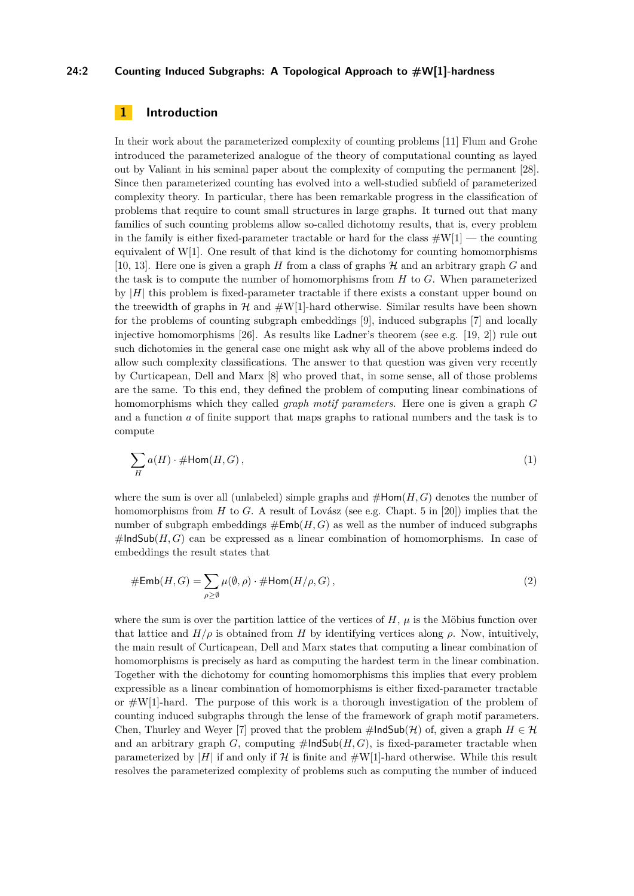## **24:2 Counting Induced Subgraphs: A Topological Approach to #W[1]-hardness**

# **1 Introduction**

In their work about the parameterized complexity of counting problems [\[11\]](#page-12-1) Flum and Grohe introduced the parameterized analogue of the theory of computational counting as layed out by Valiant in his seminal paper about the complexity of computing the permanent [\[28\]](#page-13-1). Since then parameterized counting has evolved into a well-studied subfield of parameterized complexity theory. In particular, there has been remarkable progress in the classification of problems that require to count small structures in large graphs. It turned out that many families of such counting problems allow so-called dichotomy results, that is, every problem in the family is either fixed-parameter tractable or hard for the class  $\#W[1]$  — the counting equivalent of  $W[1]$ . One result of that kind is the dichotomy for counting homomorphisms [\[10,](#page-12-2) [13\]](#page-12-3). Here one is given a graph  $H$  from a class of graphs  $H$  and an arbitrary graph  $G$  and the task is to compute the number of homomorphisms from *H* to *G*. When parameterized by  $|H|$  this problem is fixed-parameter tractable if there exists a constant upper bound on the treewidth of graphs in  $H$  and  $\#W[1]$ -hard otherwise. Similar results have been shown for the problems of counting subgraph embeddings [\[9\]](#page-12-4), induced subgraphs [\[7\]](#page-12-5) and locally injective homomorphisms [\[26\]](#page-13-2). As results like Ladner's theorem (see e.g. [\[19,](#page-13-3) [2\]](#page-12-6)) rule out such dichotomies in the general case one might ask why all of the above problems indeed do allow such complexity classifications. The answer to that question was given very recently by Curticapean, Dell and Marx [\[8\]](#page-12-7) who proved that, in some sense, all of those problems are the same. To this end, they defined the problem of computing linear combinations of homomorphisms which they called *graph motif parameters*. Here one is given a graph *G* and a function *a* of finite support that maps graphs to rational numbers and the task is to compute

$$
\sum_{H} a(H) \cdot \# \text{Hom}(H, G), \tag{1}
$$

where the sum is over all (unlabeled) simple graphs and  $\#Hom(H, G)$  denotes the number of homomorphisms from *H* to *G*. A result of Lovász (see e.g. Chapt. 5 in [\[20\]](#page-13-4)) implies that the number of subgraph embeddings  $\#Emb(H, G)$  as well as the number of induced subgraphs  $\#$ IndSub( $H, G$ ) can be expressed as a linear combination of homomorphisms. In case of embeddings the result states that

$$
\# \mathsf{Emb}(H, G) = \sum_{\rho \ge \emptyset} \mu(\emptyset, \rho) \cdot \# \mathsf{Hom}(H/\rho, G), \tag{2}
$$

where the sum is over the partition lattice of the vertices of  $H$ ,  $\mu$  is the Möbius function over that lattice and  $H/\rho$  is obtained from *H* by identifying vertices along  $\rho$ . Now, intuitively, the main result of Curticapean, Dell and Marx states that computing a linear combination of homomorphisms is precisely as hard as computing the hardest term in the linear combination. Together with the dichotomy for counting homomorphisms this implies that every problem expressible as a linear combination of homomorphisms is either fixed-parameter tractable or  $\#W[1]$ -hard. The purpose of this work is a thorough investigation of the problem of counting induced subgraphs through the lense of the framework of graph motif parameters. Chen, Thurley and Weyer [\[7\]](#page-12-5) proved that the problem  $\#$ IndSub( $\mathcal{H}$ ) of, given a graph  $H \in \mathcal{H}$ and an arbitrary graph  $G$ , computing  $\#$ IndSub $(H, G)$ , is fixed-parameter tractable when parameterized by  $|H|$  if and only if H is finite and  $\#W[1]$ -hard otherwise. While this result resolves the parameterized complexity of problems such as computing the number of induced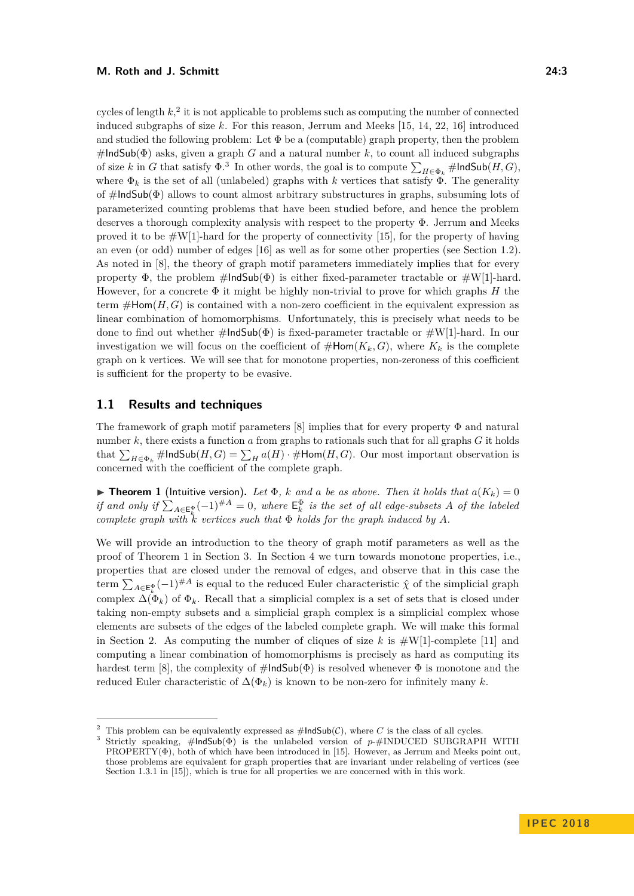cycles of length  $k<sub>1</sub><sup>2</sup>$  $k<sub>1</sub><sup>2</sup>$  $k<sub>1</sub><sup>2</sup>$  it is not applicable to problems such as computing the number of connected induced subgraphs of size *k*. For this reason, Jerrum and Meeks [\[15,](#page-12-8) [14,](#page-12-9) [22,](#page-13-5) [16\]](#page-13-6) introduced and studied the following problem: Let  $\Phi$  be a (computable) graph property, then the problem  $\#$ IndSub( $\Phi$ ) asks, given a graph *G* and a natural number *k*, to count all induced subgraphs of size *k* in *G* that satisfy  $\Phi$ .<sup>[3](#page-2-1)</sup> In other words, the goal is to compute  $\sum_{H \in \Phi_k}$  #IndSub(*H*, *G*), where  $\Phi_k$  is the set of all (unlabeled) graphs with *k* vertices that satisfy  $\Phi$ . The generality of  $\#$ IndSub( $\Phi$ ) allows to count almost arbitrary substructures in graphs, subsuming lots of parameterized counting problems that have been studied before, and hence the problem deserves a thorough complexity analysis with respect to the property Φ. Jerrum and Meeks proved it to be  $\#W[1]$ -hard for the property of connectivity [\[15\]](#page-12-8), for the property of having an even (or odd) number of edges [\[16\]](#page-13-6) as well as for some other properties (see Section [1.2\)](#page-4-0). As noted in [\[8\]](#page-12-7), the theory of graph motif parameters immediately implies that for every property  $\Phi$ , the problem  $\#$ IndSub( $\Phi$ ) is either fixed-parameter tractable or  $\#W[1]$ -hard. However, for a concrete Φ it might be highly non-trivial to prove for which graphs *H* the term  $\#Hom(H, G)$  is contained with a non-zero coefficient in the equivalent expression as linear combination of homomorphisms. Unfortunately, this is precisely what needs to be done to find out whether  $\#$ IndSub( $\Phi$ ) is fixed-parameter tractable or  $\#W[1]$ -hard. In our investigation we will focus on the coefficient of  $\#Hom(K_k, G)$ , where  $K_k$  is the complete graph on k vertices. We will see that for monotone properties, non-zeroness of this coefficient is sufficient for the property to be evasive.

## **1.1 Results and techniques**

The framework of graph motif parameters [\[8\]](#page-12-7) implies that for every property  $\Phi$  and natural number  $k$ , there exists a function  $a$  from graphs to rationals such that for all graphs  $G$  it holds that  $\sum_{H \in \Phi_k}$  #IndSub $(H, G) = \sum_H a(H) \cdot \#Hom(H, G)$ . Our most important observation is concerned with the coefficient of the complete graph.

<span id="page-2-2"></span>**Find 1** (Intuitive version). Let  $\Phi$ , *k* and *a* be as above. Then it holds that  $a(K_k) = 0$ *if and only if*  $\sum_{A \in \mathsf{E}_k^{\Phi}} (-1)^{\#A} = 0$ , where  $\mathsf{E}_k^{\Phi}$  *is the set of all edge-subsets A of the labeled complete graph with*  $\overline{k}$  *vertices such that*  $\Phi$  *holds for the graph induced by A.* 

We will provide an introduction to the theory of graph motif parameters as well as the proof of Theorem [1](#page-2-2) in Section [3.](#page-7-0) In Section [4](#page-9-0) we turn towards monotone properties, i.e., properties that are closed under the removal of edges, and observe that in this case the term  $\sum_{A\in \mathsf{E}_k^{\Phi}}(-1)^{\#A}$  is equal to the reduced Euler characteristic  $\hat{\chi}$  of the simplicial graph complex  $\Delta(\Phi_k)$  of  $\Phi_k$ . Recall that a simplicial complex is a set of sets that is closed under taking non-empty subsets and a simplicial graph complex is a simplicial complex whose elements are subsets of the edges of the labeled complete graph. We will make this formal in Section [2.](#page-4-1) As computing the number of cliques of size  $k$  is  $\#W[1]$ -complete [\[11\]](#page-12-1) and computing a linear combination of homomorphisms is precisely as hard as computing its hardest term [\[8\]](#page-12-7), the complexity of  $\#$ IndSub( $\Phi$ ) is resolved whenever  $\Phi$  is monotone and the reduced Euler characteristic of  $\Delta(\Phi_k)$  is known to be non-zero for infinitely many *k*.

<span id="page-2-0"></span><sup>&</sup>lt;sup>2</sup> This problem can be equivalently expressed as  $\#IndSub(\mathcal{C})$ , where *C* is the class of all cycles.<br><sup>3</sup> Strictly graphics (UndSub(A) is the unlabeled sprains of a (UNINIGED SUDCDA)

<span id="page-2-1"></span><sup>3</sup> Strictly speaking, #IndSub(Φ) is the unlabeled version of *p*-#INDUCED SUBGRAPH WITH  $PROPERTY(\Phi)$ , both of which have been introduced in [\[15\]](#page-12-8). However, as Jerrum and Meeks point out, those problems are equivalent for graph properties that are invariant under relabeling of vertices (see Section 1.3.1 in [\[15\]](#page-12-8)), which is true for all properties we are concerned with in this work.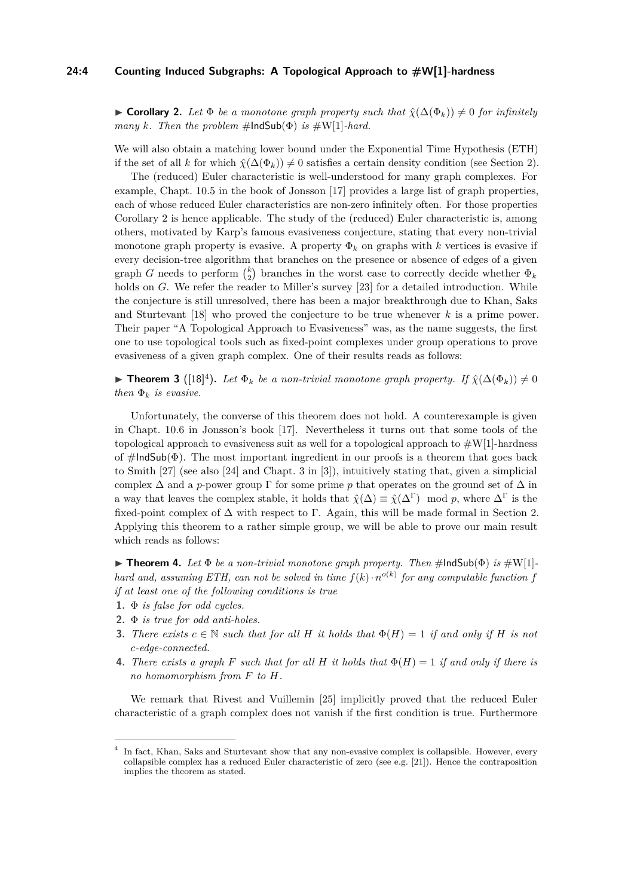## **24:4 Counting Induced Subgraphs: A Topological Approach to #W[1]-hardness**

<span id="page-3-0"></span>► Corollary 2. Let  $\Phi$  *be a monotone graph property such that*  $\hat{\chi}(\Delta(\Phi_k)) \neq 0$  *for infinitely many k. Then the problem*  $\#$ **lndSub**( $\Phi$ ) *is*  $\#W[1]$ *-hard.* 

We will also obtain a matching lower bound under the Exponential Time Hypothesis (ETH) if the set of all *k* for which  $\hat{\chi}(\Delta(\Phi_k)) \neq 0$  satisfies a certain density condition (see Section [2\)](#page-4-1).

The (reduced) Euler characteristic is well-understood for many graph complexes. For example, Chapt. 10.5 in the book of Jonsson [\[17\]](#page-13-7) provides a large list of graph properties, each of whose reduced Euler characteristics are non-zero infinitely often. For those properties Corollary [2](#page-3-0) is hence applicable. The study of the (reduced) Euler characteristic is, among others, motivated by Karp's famous evasiveness conjecture, stating that every non-trivial monotone graph property is evasive. A property  $\Phi_k$  on graphs with *k* vertices is evasive if every decision-tree algorithm that branches on the presence or absence of edges of a given graph *G* needs to perform  $\binom{k}{2}$  branches in the worst case to correctly decide whether  $\Phi_k$ holds on *G*. We refer the reader to Miller's survey [\[23\]](#page-13-8) for a detailed introduction. While the conjecture is still unresolved, there has been a major breakthrough due to Khan, Saks and Sturtevant [\[18\]](#page-13-9) who proved the conjecture to be true whenever *k* is a prime power. Their paper "A Topological Approach to Evasiveness" was, as the name suggests, the first one to use topological tools such as fixed-point complexes under group operations to prove evasiveness of a given graph complex. One of their results reads as follows:

**► Theorem 3** ([\[18\]](#page-13-9)<sup>[4](#page-3-1)</sup>). Let  $\Phi_k$  be a non-trivial monotone graph property. If  $\hat{\chi}(\Delta(\Phi_k)) \neq 0$ *then*  $\Phi_k$  *is evasive.* 

Unfortunately, the converse of this theorem does not hold. A counterexample is given in Chapt. 10.6 in Jonsson's book [\[17\]](#page-13-7). Nevertheless it turns out that some tools of the topological approach to evasiveness suit as well for a topological approach to  $\#W[1]$ -hardness of  $\#$ IndSub( $\Phi$ ). The most important ingredient in our proofs is a theorem that goes back to Smith [\[27\]](#page-13-10) (see also [\[24\]](#page-13-11) and Chapt. 3 in [\[3\]](#page-12-10)), intuitively stating that, given a simplicial complex  $\Delta$  and a *p*-power group  $\Gamma$  for some prime *p* that operates on the ground set of  $\Delta$  in a way that leaves the complex stable, it holds that  $\hat{\chi}(\Delta) \equiv \hat{\chi}(\Delta^{\Gamma}) \mod p$ , where  $\Delta^{\Gamma}$  is the fixed-point complex of  $\Delta$  with respect to Γ. Again, this will be made formal in Section [2.](#page-4-1) Applying this theorem to a rather simple group, we will be able to prove our main result which reads as follows:

<span id="page-3-2"></span>**FindSub(** $\Phi$ ) *is*  $\#W[1]$ -<br>**FindSub(** $\Phi$ ) *is*  $\#W[1]$ *hard and, assuming ETH, can not be solved in time*  $f(k) \cdot n^{o(k)}$  for any computable function f *if at least one of the following conditions is true*

- **1.** Φ *is false for odd cycles.*
- **2.** Φ *is true for odd anti-holes.*
- **3.** *There exists*  $c \in \mathbb{N}$  *such that for all H it holds that*  $\Phi(H) = 1$  *if and only if H is not c-edge-connected.*
- **4.** *There exists a graph F such that for all H it holds that*  $\Phi(H) = 1$  *if and only if there is no homomorphism from F to H.*

We remark that Rivest and Vuillemin [\[25\]](#page-13-12) implicitly proved that the reduced Euler characteristic of a graph complex does not vanish if the first condition is true. Furthermore

<span id="page-3-1"></span><sup>4</sup> In fact, Khan, Saks and Sturtevant show that any non-evasive complex is collapsible. However, every collapsible complex has a reduced Euler characteristic of zero (see e.g. [\[21\]](#page-13-13)). Hence the contraposition implies the theorem as stated.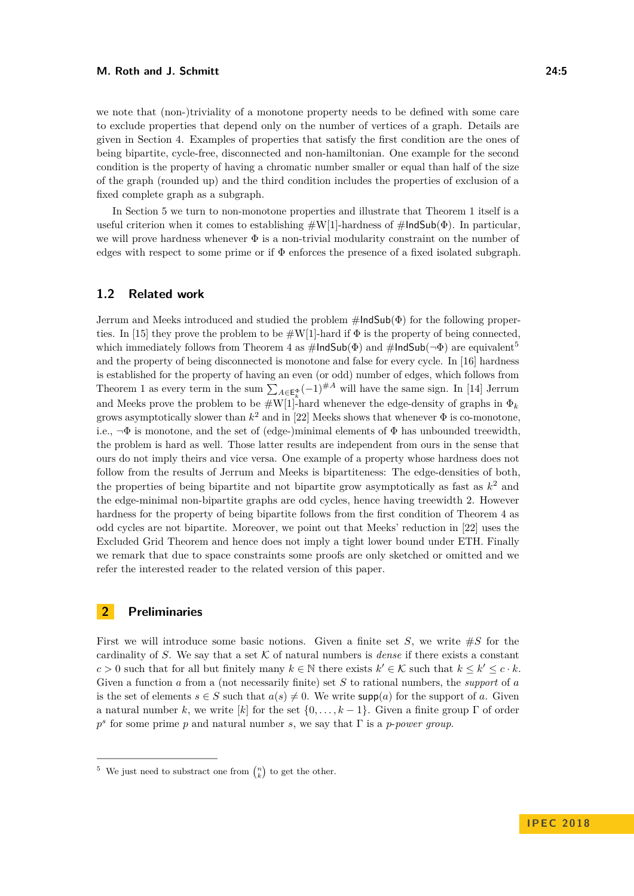#### **M. Roth and J. Schmitt 24:5**

we note that (non-)triviality of a monotone property needs to be defined with some care to exclude properties that depend only on the number of vertices of a graph. Details are given in Section [4.](#page-9-0) Examples of properties that satisfy the first condition are the ones of being bipartite, cycle-free, disconnected and non-hamiltonian. One example for the second condition is the property of having a chromatic number smaller or equal than half of the size of the graph (rounded up) and the third condition includes the properties of exclusion of a fixed complete graph as a subgraph.

In Section [5](#page-11-0) we turn to non-monotone properties and illustrate that Theorem [1](#page-2-2) itself is a useful criterion when it comes to establishing  $\#W[1]$ -hardness of  $\#IndSub(\Phi)$ . In particular, we will prove hardness whenever Φ is a non-trivial modularity constraint on the number of edges with respect to some prime or if  $\Phi$  enforces the presence of a fixed isolated subgraph.

## <span id="page-4-0"></span>**1.2 Related work**

Jerrum and Meeks introduced and studied the problem  $\#$ IndSub( $\Phi$ ) for the following proper-ties. In [\[15\]](#page-12-8) they prove the problem to be  $\#W[1]$ -hard if  $\Phi$  is the property of being connected. which immediately follows from Theorem [4](#page-3-2) as  $\#$ IndSub( $\Phi$ ) and  $\#$ IndSub( $\neg \Phi$ ) are equivalent<sup>[5](#page-4-2)</sup> and the property of being disconnected is monotone and false for every cycle. In [\[16\]](#page-13-6) hardness is established for the property of having an even (or odd) number of edges, which follows from Theorem [1](#page-2-2) as every term in the sum  $\sum_{A \in \mathsf{E}_k^{\Phi}} (-1)^{\#A}$  will have the same sign. In [\[14\]](#page-12-9) Jerrum and Meeks prove the problem to be  $\#W[1]$ -hard whenever the edge-density of graphs in  $\Phi_k$ grows asymptotically slower than  $k^2$  and in [\[22\]](#page-13-5) Meeks shows that whenever  $\Phi$  is co-monotone, i.e.,  $\neg \Phi$  is monotone, and the set of (edge-)minimal elements of  $\Phi$  has unbounded treewidth, the problem is hard as well. Those latter results are independent from ours in the sense that ours do not imply theirs and vice versa. One example of a property whose hardness does not follow from the results of Jerrum and Meeks is bipartiteness: The edge-densities of both, the properties of being bipartite and not bipartite grow asymptotically as fast as  $k^2$  and the edge-minimal non-bipartite graphs are odd cycles, hence having treewidth 2. However hardness for the property of being bipartite follows from the first condition of Theorem [4](#page-3-2) as odd cycles are not bipartite. Moreover, we point out that Meeks' reduction in [\[22\]](#page-13-5) uses the Excluded Grid Theorem and hence does not imply a tight lower bound under ETH. Finally we remark that due to space constraints some proofs are only sketched or omitted and we refer the interested reader to the related version of this paper.

# <span id="page-4-1"></span>**2 Preliminaries**

First we will introduce some basic notions. Given a finite set  $S$ , we write  $\#S$  for the cardinality of *S*. We say that a set  $K$  of natural numbers is *dense* if there exists a constant *c* > 0 such that for all but finitely many  $k \in \mathbb{N}$  there exists  $k' \in \mathcal{K}$  such that  $k \leq k' \leq c \cdot k$ . Given a function *a* from a (not necessarily finite) set *S* to rational numbers, the *support* of *a* is the set of elements  $s \in S$  such that  $a(s) \neq 0$ . We write  $\text{supp}(a)$  for the support of *a*. Given a natural number k, we write [k] for the set  $\{0, \ldots, k-1\}$ . Given a finite group  $\Gamma$  of order *p s* for some prime *p* and natural number *s*, we say that Γ is a *p*-*power group*.

<span id="page-4-2"></span><sup>&</sup>lt;sup>5</sup> We just need to substract one from  $\binom{n}{k}$  to get the other.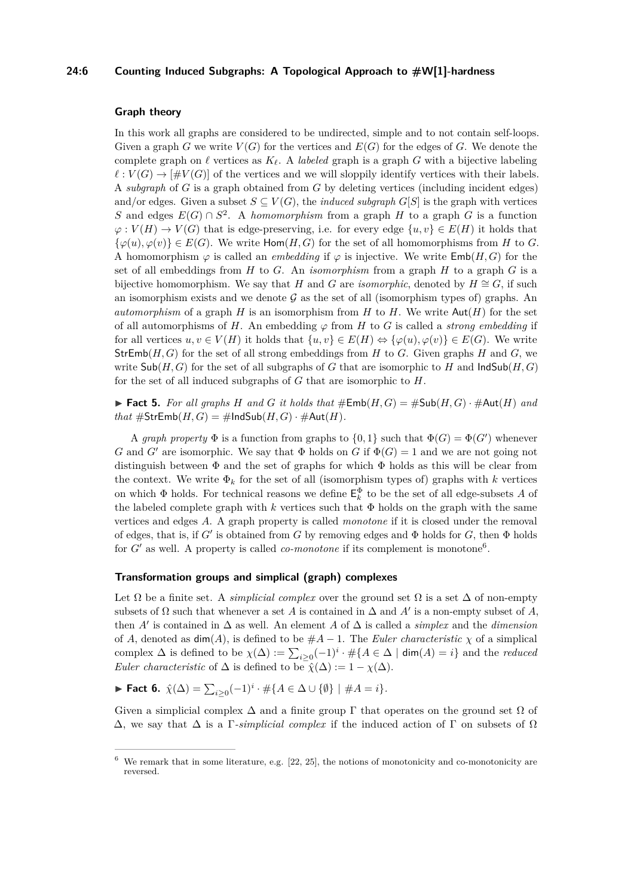## **24:6 Counting Induced Subgraphs: A Topological Approach to #W[1]-hardness**

#### **Graph theory**

In this work all graphs are considered to be undirected, simple and to not contain self-loops. Given a graph *G* we write  $V(G)$  for the vertices and  $E(G)$  for the edges of *G*. We denote the complete graph on  $\ell$  vertices as  $K_{\ell}$ . A *labeled* graph is a graph *G* with a bijective labeling  $\ell : V(G) \to [\#V(G)]$  of the vertices and we will sloppily identify vertices with their labels. A *subgraph* of *G* is a graph obtained from *G* by deleting vertices (including incident edges) and/or edges. Given a subset  $S \subseteq V(G)$ , the *induced subgraph*  $G[S]$  is the graph with vertices *S* and edges  $E(G) \cap S^2$ . A *homomorphism* from a graph *H* to a graph *G* is a function  $\varphi: V(H) \to V(G)$  that is edge-preserving, i.e. for every edge  $\{u, v\} \in E(H)$  it holds that  $\{\varphi(u), \varphi(v)\}\in E(G)$ . We write  $\text{Hom}(H, G)$  for the set of all homomorphisms from *H* to *G*. A homomorphism  $\varphi$  is called an *embedding* if  $\varphi$  is injective. We write  $\textsf{Emb}(H, G)$  for the set of all embeddings from *H* to *G*. An *isomorphism* from a graph *H* to a graph *G* is a bijective homomorphism. We say that *H* and *G* are *isomorphic*, denoted by  $H \cong G$ , if such an isomorphism exists and we denote  $G$  as the set of all (isomorphism types of) graphs. An *automorphism* of a graph *H* is an isomorphism from *H* to *H*. We write  $Aut(H)$  for the set of all automorphisms of *H*. An embedding  $\varphi$  from *H* to *G* is called a *strong embedding* if for all vertices  $u, v \in V(H)$  it holds that  $\{u, v\} \in E(H) \Leftrightarrow \{\varphi(u), \varphi(v)\} \in E(G)$ . We write  $StrEmb(H, G)$  for the set of all strong embeddings from *H* to *G*. Given graphs *H* and *G*, we write  $\mathsf{Sub}(H, G)$  for the set of all subgraphs of *G* that are isomorphic to *H* and  $\mathsf{IndSub}(H, G)$ for the set of all induced subgraphs of *G* that are isomorphic to *H*.

<span id="page-5-1"></span>**Fact 5.** For all graphs H and G it holds that  $\#\text{Emb}(H,G) = \#\text{Sub}(H,G) \cdot \#\text{Aut}(H)$  and *that*  $\#$ StrEmb $(H, G) = \#$ IndSub $(H, G) \cdot \#$ Aut $(H)$ .

A *graph property*  $\Phi$  is a function from graphs to  $\{0,1\}$  such that  $\Phi(G) = \Phi(G')$  whenever *G* and *G*<sup> $\prime$ </sup> are isomorphic. We say that  $\Phi$  holds on *G* if  $\Phi(G) = 1$  and we are not going not distinguish between  $\Phi$  and the set of graphs for which  $\Phi$  holds as this will be clear from the context. We write  $\Phi_k$  for the set of all (isomorphism types of) graphs with k vertices on which  $\Phi$  holds. For technical reasons we define  $E_k^{\Phi}$  to be the set of all edge-subsets *A* of the labeled complete graph with  $k$  vertices such that  $\Phi$  holds on the graph with the same vertices and edges *A*. A graph property is called *monotone* if it is closed under the removal of edges, that is, if  $G'$  is obtained from  $G$  by removing edges and  $\Phi$  holds for  $G$ , then  $\Phi$  holds for  $G'$  as well. A property is called *co-monotone* if its complement is monotone<sup>[6](#page-5-0)</sup>.

### **Transformation groups and simplical (graph) complexes**

Let  $\Omega$  be a finite set. A *simplicial complex* over the ground set  $\Omega$  is a set  $\Delta$  of non-empty subsets of  $\Omega$  such that whenever a set *A* is contained in  $\Delta$  and  $A'$  is a non-empty subset of  $A$ , then  $A'$  is contained in  $\Delta$  as well. An element  $A$  of  $\Delta$  is called a *simplex* and the *dimension* of *A*, denoted as  $\dim(A)$ , is defined to be  $#A - 1$ . The *Euler characteristic*  $\chi$  of a simplical complex  $\Delta$  is defined to be  $\chi(\Delta) := \sum_{i \geq 0} (-1)^i \cdot \# \{ A \in \Delta \mid \dim(A) = i \}$  and the *reduced Euler characteristic* of  $\Delta$  is defined to be  $\hat{\chi}(\Delta) := 1 - \chi(\Delta)$ .

► **Fact 6.**  $\hat{\chi}(\Delta) = \sum_{i \geq 0} (-1)^i \cdot \# \{ A \in \Delta \cup \{ \emptyset \} \mid \# A = i \}.$ 

Given a simplicial complex  $\Delta$  and a finite group  $\Gamma$  that operates on the ground set  $\Omega$  of  $\Delta$ , we say that  $\Delta$  is a Γ-*simplicial complex* if the induced action of Γ on subsets of  $\Omega$ 

<span id="page-5-0"></span> $6\,$  We remark that in some literature, e.g. [\[22,](#page-13-5) [25\]](#page-13-12), the notions of monotonicity and co-monotonicity are reversed.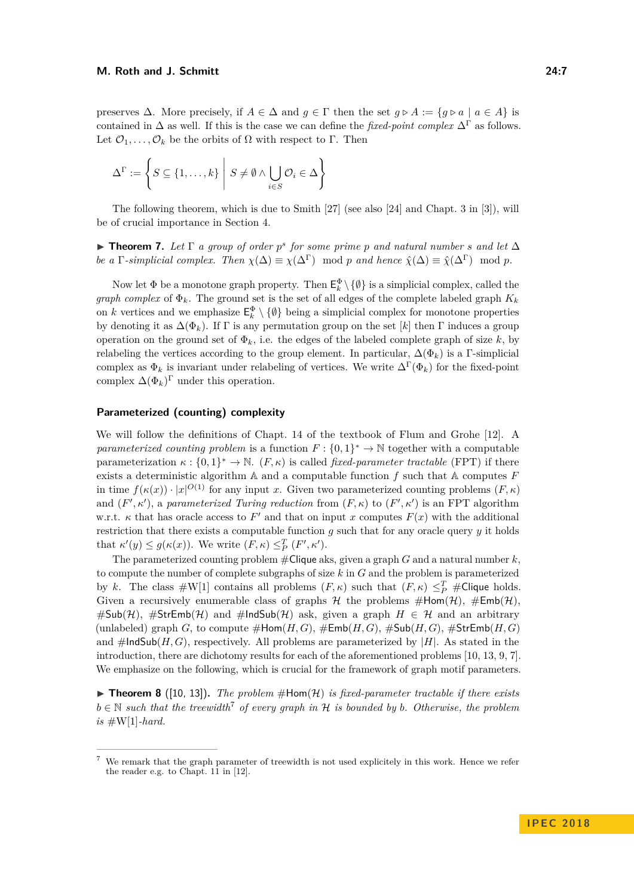preserves  $\Delta$ . More precisely, if  $A \in \Delta$  and  $g \in \Gamma$  then the set  $g \triangleright A := \{g \triangleright a \mid a \in A\}$  is contained in ∆ as well. If this is the case we can define the *fixed-point complex* ∆<sup>Γ</sup> as follows. Let  $\mathcal{O}_1, \ldots, \mathcal{O}_k$  be the orbits of  $\Omega$  with respect to  $\Gamma$ . Then

$$
\Delta^{\Gamma} := \left\{ S \subseteq \{1, \ldots, k\} \; \middle| \; S \neq \emptyset \land \bigcup_{i \in S} \mathcal{O}_i \in \Delta \right\}
$$

The following theorem, which is due to Smith [\[27\]](#page-13-10) (see also [\[24\]](#page-13-11) and Chapt. 3 in [\[3\]](#page-12-10)), will be of crucial importance in Section [4.](#page-9-0)

<span id="page-6-1"></span>**Find 7.** Let  $\Gamma$  *a group of order*  $p^s$  *for some prime p and natural number s and let*  $\Delta$ *be a* Γ*-simplicial complex. Then*  $\chi(\Delta) \equiv \chi(\Delta^{\Gamma})$  mod *p and hence*  $\hat{\chi}(\Delta) \equiv \hat{\chi}(\Delta^{\Gamma})$  mod *p*.

Now let  $\Phi$  be a monotone graph property. Then  $\mathsf{E}_k^{\Phi} \setminus \{\emptyset\}$  is a simplicial complex, called the *graph complex* of  $\Phi_k$ . The ground set is the set of all edges of the complete labeled graph  $K_k$ on *k* vertices and we emphasize  $\mathsf{E}_k^{\Phi} \setminus \{\emptyset\}$  being a simplicial complex for monotone properties by denoting it as  $\Delta(\Phi_k)$ . If  $\Gamma$  is any permutation group on the set [k] then  $\Gamma$  induces a group operation on the ground set of  $\Phi_k$ , i.e. the edges of the labeled complete graph of size k, by relabeling the vertices according to the group element. In particular,  $\Delta(\Phi_k)$  is a Γ-simplicial complex as  $\Phi_k$  is invariant under relabeling of vertices. We write  $\Delta^{\Gamma}(\Phi_k)$  for the fixed-point complex  $\Delta(\Phi_k)^{\Gamma}$  under this operation.

## **Parameterized (counting) complexity**

We will follow the definitions of Chapt. 14 of the textbook of Flum and Grohe [\[12\]](#page-12-11). A *parameterized counting problem* is a function  $F: \{0,1\}^* \to \mathbb{N}$  together with a computable parameterization  $\kappa : \{0,1\}^* \to \mathbb{N}$ .  $(F,\kappa)$  is called *fixed-parameter tractable* (FPT) if there exists a deterministic algorithm A and a computable function *f* such that A computes *F* in time  $f(\kappa(x)) \cdot |x|^{O(1)}$  for any input *x*. Given two parameterized counting problems  $(F, \kappa)$ and  $(F', \kappa')$ , a *parameterized Turing reduction* from  $(F, \kappa)$  to  $(F', \kappa')$  is an FPT algorithm w.r.t.  $\kappa$  that has oracle access to  $F'$  and that on input *x* computes  $F(x)$  with the additional restriction that there exists a computable function  $q$  such that for any oracle query  $y$  it holds that  $\kappa'(y) \leq g(\kappa(x))$ . We write  $(F, \kappa) \leq^T_P (F', \kappa')$ .

The parameterized counting problem #Clique aks, given a graph *G* and a natural number *k*, to compute the number of complete subgraphs of size *k* in *G* and the problem is parameterized by *k*. The class  $\#W[1]$  contains all problems  $(F, \kappa)$  such that  $(F, \kappa) \leq^T_P \# \text{Clique holds.}$ Given a recursively enumerable class of graphs  $H$  the problems  $\#Hom(\mathcal{H})$ ,  $\#Emb(\mathcal{H})$ ,  $\#\text{Sub}(\mathcal{H})$ ,  $\#\text{StrEmb}(\mathcal{H})$  and  $\#\text{IndSub}(\mathcal{H})$  ask, given a graph  $H \in \mathcal{H}$  and an arbitrary (unlabeled) graph *G*, to compute  $\#Hom(H, G)$ ,  $\#Emb(H, G)$ ,  $\#Sub(H, G)$ ,  $\#StrEmb(H, G)$ and  $\#$ IndSub(*H, G*), respectively. All problems are parameterized by |*H*|. As stated in the introduction, there are dichotomy results for each of the aforementioned problems [\[10,](#page-12-2) [13,](#page-12-3) [9,](#page-12-4) [7\]](#page-12-5). We emphasize on the following, which is crucial for the framework of graph motif parameters.

 $\triangleright$  **Theorem 8** ([\[10,](#page-12-2) [13\]](#page-12-3)). *The problem* #Hom(*H*) *is fixed-parameter tractable if there exists*  $b \in \mathbb{N}$  *such that the treewidth*<sup>[7](#page-6-0)</sup> *of every graph in* H *is bounded by b. Otherwise, the problem*  $is \#W[1]$ *-hard.* 

<span id="page-6-0"></span><sup>7</sup> We remark that the graph parameter of treewidth is not used explicitely in this work. Hence we refer the reader e.g. to Chapt. 11 in [\[12\]](#page-12-11).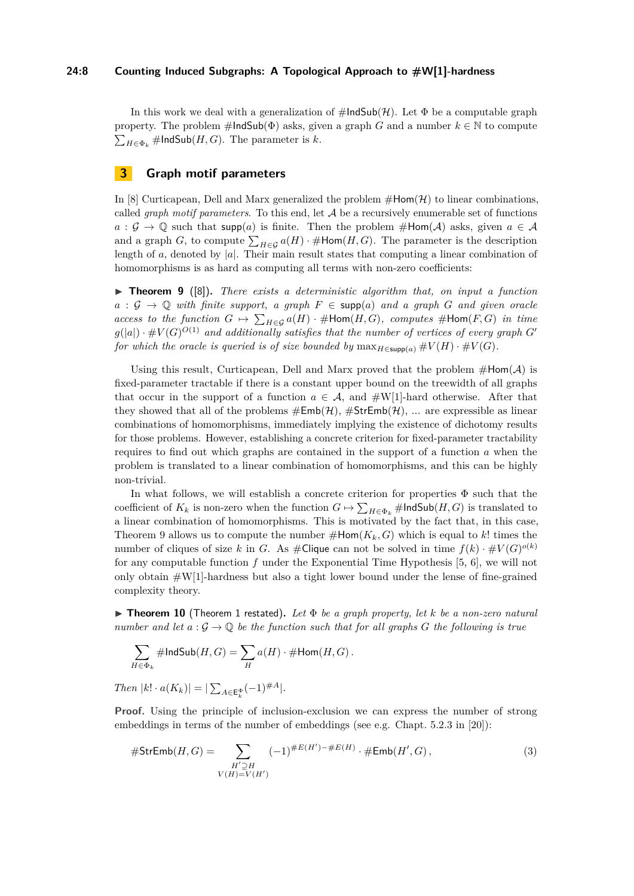## **24:8 Counting Induced Subgraphs: A Topological Approach to #W[1]-hardness**

In this work we deal with a generalization of  $\#$ IndSub(H). Let  $\Phi$  be a computable graph property. The problem  $\#$ IndSub( $\Phi$ ) asks, given a graph *G* and a number  $k \in \mathbb{N}$  to compute  $\sum_{H \in \Phi_k}$ #IndSub $(H, G)$ . The parameter is *k*.

# <span id="page-7-0"></span>**3 Graph motif parameters**

In [\[8\]](#page-12-7) Curticapean, Dell and Marx generalized the problem  $\#\text{Hom}(\mathcal{H})$  to linear combinations, called *graph motif parameters*. To this end, let A be a recursively enumerable set of functions  $a: \mathcal{G} \to \mathbb{Q}$  such that supp(*a*) is finite. Then the problem #Hom(*A*) asks, given  $a \in \mathcal{A}$ and a graph *G*, to compute  $\sum_{H \in \mathcal{G}} a(H) \cdot \#Hom(H, G)$ . The parameter is the description length of *a*, denoted by  $|a|$ . Their main result states that computing a linear combination of homomorphisms is as hard as computing all terms with non-zero coefficients:

<span id="page-7-1"></span> $\triangleright$  **Theorem 9** ([\[8\]](#page-12-7)). *There exists a deterministic algorithm that, on input a function*  $a : \mathcal{G} \to \mathbb{Q}$  *with finite support, a graph*  $F \in \text{supp}(a)$  *and a graph*  $G$  *and given oracle*  $access\ to\ the\ function\ G\ \mapsto\ \sum_{H\in\mathcal{G}}a(H)\cdot\#\text{Hom}(H,G),\ complex\ \#\text{Hom}(F,G)\ \ in\ \ time$  $g(|a|) \cdot \# V(G)^{O(1)}$  and additionally satisfies that the number of vertices of every graph  $G'$ *for which the oracle is queried is of size bounded by*  $\max_{H \in \text{supp}(a)} #V(H) \cdot #V(G)$ .

Using this result, Curticapean, Dell and Marx proved that the problem  $\#Hom(\mathcal{A})$  is fixed-parameter tractable if there is a constant upper bound on the treewidth of all graphs that occur in the support of a function  $a \in \mathcal{A}$ , and  $\#W[1]$ -hard otherwise. After that they showed that all of the problems  $#Emb(\mathcal{H}), #StrEmb(\mathcal{H}), \dots$  are expressible as linear combinations of homomorphisms, immediately implying the existence of dichotomy results for those problems. However, establishing a concrete criterion for fixed-parameter tractability requires to find out which graphs are contained in the support of a function *a* when the problem is translated to a linear combination of homomorphisms, and this can be highly non-trivial.

In what follows, we will establish a concrete criterion for properties Φ such that the coefficient of  $K_k$  is non-zero when the function  $G \mapsto \sum_{H \in \Phi_k} \#$ IndSub $(H, G)$  is translated to a linear combination of homomorphisms. This is motivated by the fact that, in this case, Theorem [9](#page-7-1) allows us to compute the number  $\#\text{Hom}(K_k, G)$  which is equal to k! times the number of cliques of size *k* in *G*. As  $\#$  Clique can not be solved in time  $f(k) \cdot \# V(G)^{o(k)}$ for any computable function *f* under the Exponential Time Hypothesis [\[5,](#page-12-12) [6\]](#page-12-13), we will not only obtain  $\#W[1]$ -hardness but also a tight lower bound under the lense of fine-grained complexity theory.

<span id="page-7-3"></span> $\triangleright$  **Theorem [1](#page-2-2)0** (Theorem 1 restated). Let  $\Phi$  be a graph property, let k be a non-zero natural *number and let*  $a: \mathcal{G} \to \mathbb{Q}$  *be the function such that for all graphs*  $G$  *the following is true* 

$$
\sum_{H \in \Phi_k} \# \text{IndSub}(H, G) = \sum_H a(H) \cdot \# \text{Hom}(H, G) \, .
$$

*Then*  $|k| \cdot a(K_k)| = |\sum_{A \in \mathsf{E}_k^{\Phi}} (-1)^{\#A}|.$ 

**Proof.** Using the principle of inclusion-exclusion we can express the number of strong embeddings in terms of the number of embeddings (see e.g. Chapt. 5.2.3 in [\[20\]](#page-13-4)):

<span id="page-7-2"></span>#StrEmb(H, G) = 
$$
\sum_{\substack{H' \supseteq H \\ V(H) = V(H')}} (-1)^{\#E(H') - \#E(H)} \cdot \#Emb(H', G),
$$
 (3)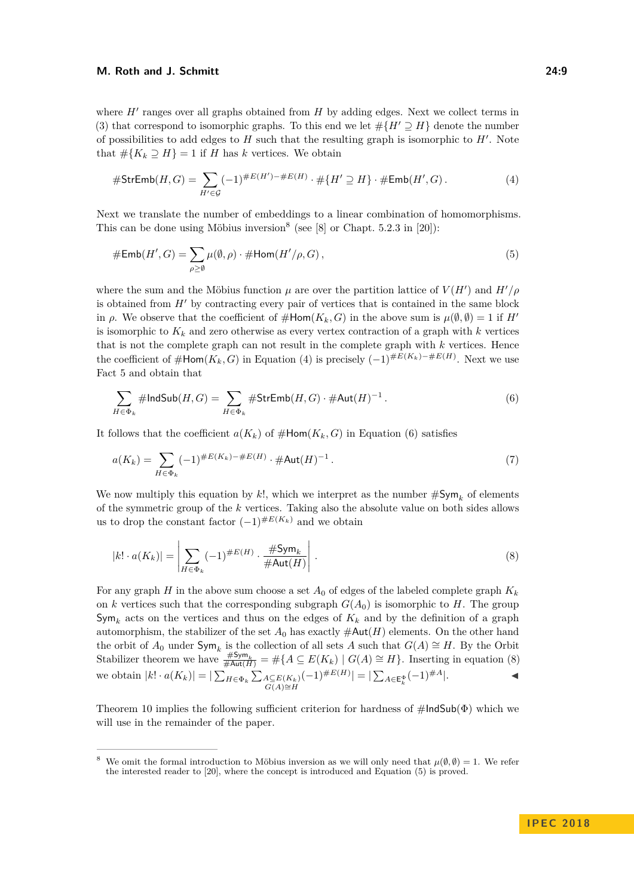#### **M. Roth and J. Schmitt 24:9**

where  $H'$  ranges over all graphs obtained from  $H$  by adding edges. Next we collect terms in [\(3\)](#page-7-2) that correspond to isomorphic graphs. To this end we let  $\# \{ H' \supseteq H \}$  denote the number of possibilities to add edges to  $H$  such that the resulting graph is isomorphic to  $H'$ . Note that  $\# \{ K_k \supseteq H \} = 1$  if *H* has *k* vertices. We obtain

<span id="page-8-1"></span>
$$
#StrEmb(H, G) = \sum_{H' \in \mathcal{G}} (-1)^{\#E(H') - \#E(H)} \cdot \# \{H' \supseteq H\} \cdot \#Emb(H', G). \tag{4}
$$

Next we translate the number of embeddings to a linear combination of homomorphisms. This can be done using Möbius inversion<sup>[8](#page-8-0)</sup> (see [\[8\]](#page-12-7) or Chapt. 5.2.3 in [\[20\]](#page-13-4)):

<span id="page-8-4"></span>
$$
\# \operatorname{Emb}(H', G) = \sum_{\rho \ge \emptyset} \mu(\emptyset, \rho) \cdot \# \operatorname{Hom}(H'/\rho, G), \tag{5}
$$

where the sum and the Möbius function  $\mu$  are over the partition lattice of  $V(H')$  and  $H'/\rho$ is obtained from  $H'$  by contracting every pair of vertices that is contained in the same block in  $\rho$ . We observe that the coefficient of  $\#Hom(K_k, G)$  in the above sum is  $\mu(\emptyset, \emptyset) = 1$  if  $H'$ is isomorphic to  $K_k$  and zero otherwise as every vertex contraction of a graph with  $k$  vertices that is not the complete graph can not result in the complete graph with *k* vertices. Hence the coefficient of  $\# \text{Hom}(K_k, G)$  in Equation [\(4\)](#page-8-1) is precisely  $(-1)^{\#E(K_k)-\#E(H)}$ . Next we use Fact [5](#page-5-1) and obtain that

<span id="page-8-2"></span>
$$
\sum_{H \in \Phi_k} \# \text{IndSub}(H, G) = \sum_{H \in \Phi_k} \# \text{StrEmb}(H, G) \cdot \# \text{Aut}(H)^{-1}.
$$
 (6)

It follows that the coefficient  $a(K_k)$  of  $\#Hom(K_k, G)$  in Equation [\(6\)](#page-8-2) satisfies

$$
a(K_k) = \sum_{H \in \Phi_k} (-1)^{\#E(K_k) - \#E(H)} \cdot \#Aut(H)^{-1} \,. \tag{7}
$$

We now multiply this equation by  $k!$ , which we interpret as the number  $\#\text{Sym}_k$  of elements of the symmetric group of the *k* vertices. Taking also the absolute value on both sides allows us to drop the constant factor  $(-1)^{\#E(K_k)}$  and we obtain

<span id="page-8-3"></span>
$$
|k! \cdot a(K_k)| = \left| \sum_{H \in \Phi_k} (-1)^{\#E(H)} \cdot \frac{\# \text{Sym}_k}{\# \text{Aut}(H)} \right|.
$$
 (8)

For any graph *H* in the above sum choose a set  $A_0$  of edges of the labeled complete graph  $K_k$ on *k* vertices such that the corresponding subgraph  $G(A_0)$  is isomorphic to *H*. The group  $\mathsf{Sym}_k$  acts on the vertices and thus on the edges of  $K_k$  and by the definition of a graph automorphism, the stabilizer of the set  $A_0$  has exactly  $\#\text{Aut}(H)$  elements. On the other hand the orbit of  $A_0$  under  $\textsf{Sym}_k$  is the collection of all sets *A* such that  $G(A) \cong H$ . By the Orbit Stabilizer theorem we have  $\frac{\# \text{Sym}_k}{\# \text{Aut}(H)} = \# \{ A \subseteq E(K_k) \mid G(A) \cong H \}.$  Inserting in equation [\(8\)](#page-8-3) we obtain  $|k| \cdot a(K_k)| = |\sum_{H \in \Phi_k} \sum_{\substack{A \subseteq E(K_k) \\ G(A) \cong H}}$  $(-1)^{\#E(H)}$ | = |  $\sum_{A \in \mathsf{E}_k^{\Phi}} (-1)^{\#A}$ |. **■** 

Theorem [10](#page-7-3) implies the following sufficient criterion for hardness of  $\#IndSub(\Phi)$  which we will use in the remainder of the paper.

<span id="page-8-0"></span><sup>&</sup>lt;sup>8</sup> We omit the formal introduction to Möbius inversion as we will only need that  $\mu(\emptyset, \emptyset) = 1$ . We refer the interested reader to [\[20\]](#page-13-4), where the concept is introduced and Equation [\(5\)](#page-8-4) is proved.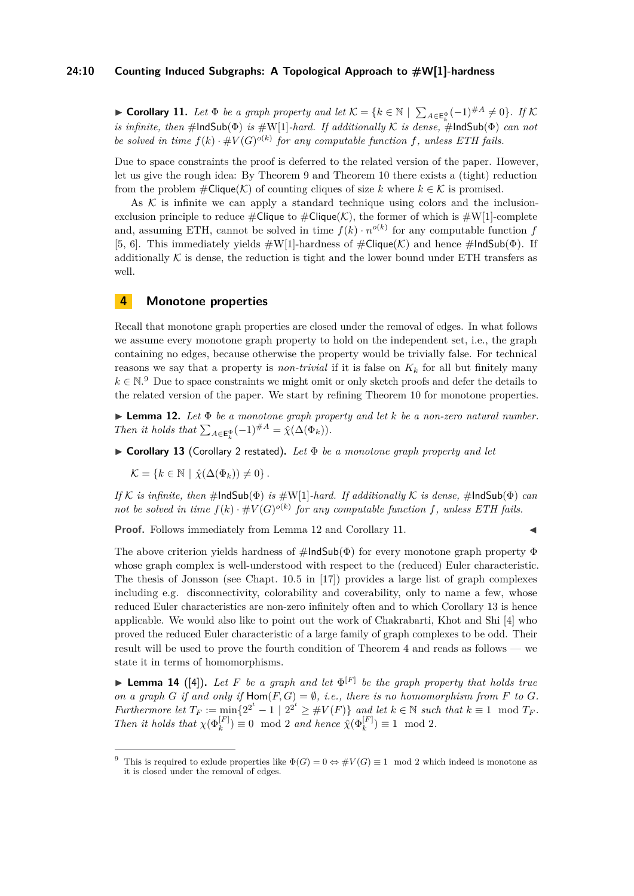## **24:10 Counting Induced Subgraphs: A Topological Approach to #W[1]-hardness**

<span id="page-9-3"></span>► Corollary 11. Let  $\Phi$  *be a graph property and let*  $K = \{k \in \mathbb{N} \mid \sum_{A \in \mathsf{E}_k^{\Phi}} (-1)^{\#A} \neq 0\}$ . If  $K$ *is infinite, then*  $\#$ IndSub( $\Phi$ ) *is*  $\#W[1]$ *-hard. If additionally* K *is dense,*  $\#$ IndSub( $\Phi$ ) *can not be solved in time*  $f(k) \cdot #V(G)^{o(k)}$  *for any computable function f, unless ETH fails.* 

Due to space constraints the proof is deferred to the related version of the paper. However, let us give the rough idea: By Theorem [9](#page-7-1) and Theorem [10](#page-7-3) there exists a (tight) reduction from the problem  $\#\text{Clique}(\mathcal{K})$  of counting cliques of size k where  $k \in \mathcal{K}$  is promised.

As  $K$  is infinite we can apply a standard technique using colors and the inclusionexclusion principle to reduce  $\#\text{Clique to } \#\text{Clique}(\mathcal{K})$ , the former of which is  $\#\text{W}[1]$ -complete and, assuming ETH, cannot be solved in time  $f(k) \cdot n^{o(k)}$  for any computable function *f* [\[5,](#page-12-12) [6\]](#page-12-13). This immediately yields  $\#W[1]$ -hardness of  $\#Clique(\mathcal{K})$  and hence  $\#IndSub(\Phi)$ . If additionally  $K$  is dense, the reduction is tight and the lower bound under ETH transfers as well.

## <span id="page-9-0"></span>**4 Monotone properties**

Recall that monotone graph properties are closed under the removal of edges. In what follows we assume every monotone graph property to hold on the independent set, i.e., the graph containing no edges, because otherwise the property would be trivially false. For technical reasons we say that a property is *non-trivial* if it is false on  $K_k$  for all but finitely many  $k \in \mathbb{N}$ .<sup>[9](#page-9-1)</sup> Due to space constraints we might omit or only sketch proofs and defer the details to the related version of the paper. We start by refining Theorem [10](#page-7-3) for monotone properties.

<span id="page-9-2"></span>I **Lemma 12.** *Let* Φ *be a monotone graph property and let k be a non-zero natural number. Then it holds that*  $\sum_{A \in \mathsf{E}_k^{\Phi}} (-1)^{\#A} = \hat{\chi}(\Delta(\Phi_k)).$ 

<span id="page-9-4"></span>I **Corollary 13** (Corollary [2](#page-3-0) restated)**.** *Let* Φ *be a monotone graph property and let*

 $\mathcal{K} = \{k \in \mathbb{N} \mid \hat{\chi}(\Delta(\Phi_k)) \neq 0\}.$ 

*If* K *is infinite, then* #IndSub(Φ) *is* #W[1]*-hard. If additionally* K *is dense,* #IndSub(Φ) *can not be solved in time*  $f(k) \cdot #V(G)^{o(k)}$  *for any computable function f, unless ETH fails.* 

**Proof.** Follows immediately from Lemma [12](#page-9-2) and Corollary [11.](#page-9-3)

The above criterion yields hardness of  $\#$ IndSub( $\Phi$ ) for every monotone graph property  $\Phi$ whose graph complex is well-understood with respect to the (reduced) Euler characteristic. The thesis of Jonsson (see Chapt. 10.5 in [\[17\]](#page-13-7)) provides a large list of graph complexes including e.g. disconnectivity, colorability and coverability, only to name a few, whose reduced Euler characteristics are non-zero infinitely often and to which Corollary [13](#page-9-4) is hence applicable. We would also like to point out the work of Chakrabarti, Khot and Shi [\[4\]](#page-12-14) who proved the reduced Euler characteristic of a large family of graph complexes to be odd. Their result will be used to prove the fourth condition of Theorem [4](#page-3-2) and reads as follows — we state it in terms of homomorphisms.

<span id="page-9-5"></span>**Lemma 14** ([\[4\]](#page-12-14)). Let F be a graph and let  $\Phi^{[F]}$  be the graph property that holds true *on a graph G if and only if*  $\text{Hom}(F, G) = \emptyset$ , *i.e., there is no homomorphism from F to G*. *Furthermore let*  $T_F := \min\{2^{2^t} - 1 \mid 2^{2^t} \ge #V(F)\}$  and let  $k \in \mathbb{N}$  such that  $k \equiv 1 \mod T_F$ . *Then it holds that*  $\chi(\Phi_k^{[F]}) \equiv 0 \mod 2$  *and hence*  $\hat{\chi}(\Phi_k^{[F]}) \equiv 1 \mod 2$ *.* 

<span id="page-9-1"></span><sup>&</sup>lt;sup>9</sup> This is required to exlude properties like  $\Phi(G) = 0 \Leftrightarrow \#V(G) \equiv 1 \mod 2$  which indeed is monotone as it is closed under the removal of edges.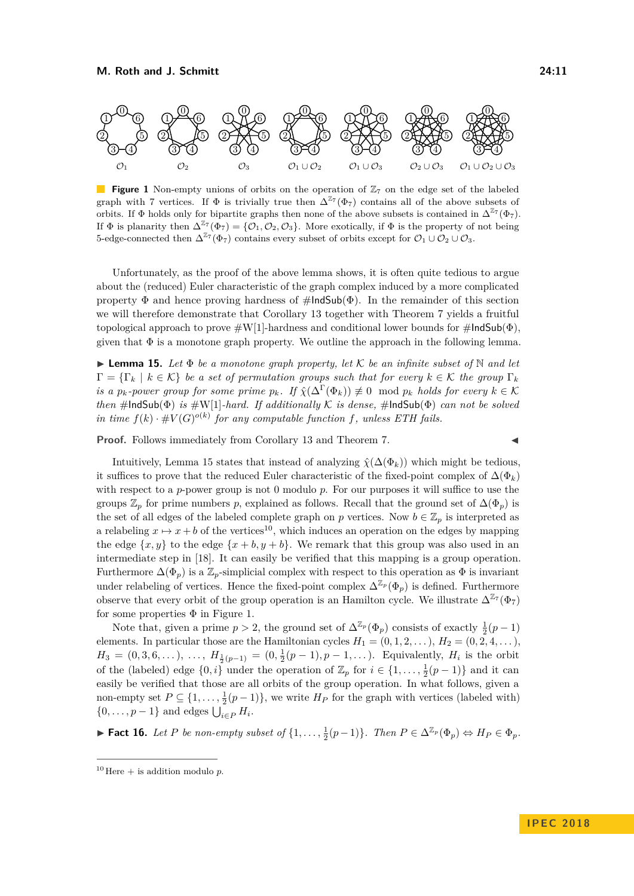<span id="page-10-2"></span>

**Figure 1** Non-empty unions of orbits on the operation of  $\mathbb{Z}_7$  on the edge set of the labeled graph with 7 vertices. If  $\Phi$  is trivially true then  $\Delta^{Z_7}(\Phi_7)$  contains all of the above subsets of orbits. If  $\Phi$  holds only for bipartite graphs then none of the above subsets is contained in  $\Delta^{\mathbb{Z}_7}(\Phi_7)$ . If  $\Phi$  is planarity then  $\Delta^{Z_7}(\Phi_7) = \{O_1, O_2, O_3\}$ . More exotically, if  $\Phi$  is the property of not being 5-edge-connected then  $\Delta^{\mathbb{Z}7}(\Phi_7)$  contains every subset of orbits except for  $\mathcal{O}_1 \cup \mathcal{O}_2 \cup \mathcal{O}_3$ .

Unfortunately, as the proof of the above lemma shows, it is often quite tedious to argue about the (reduced) Euler characteristic of the graph complex induced by a more complicated property  $\Phi$  and hence proving hardness of  $\#$ IndSub( $\Phi$ ). In the remainder of this section we will therefore demonstrate that Corollary [13](#page-9-4) together with Theorem [7](#page-6-1) yields a fruitful topological approach to prove  $\#W[1]$ -hardness and conditional lower bounds for  $\#$ lndSub( $\Phi$ ), given that  $\Phi$  is a monotone graph property. We outline the approach in the following lemma.

<span id="page-10-0"></span>I **Lemma 15.** *Let* Φ *be a monotone graph property, let* K *be an infinite subset of* N *and let*  $\Gamma = {\{\Gamma_k \mid k \in \mathcal{K}\}}$  *be a set of permutation groups such that for every*  $k \in \mathcal{K}$  *the group*  $\Gamma_k$ *is a*  $p_k$ *-power group for some prime*  $p_k$ *. If*  $\hat{\chi}(\Delta^{\Gamma}(\Phi_k)) \not\equiv 0 \mod p_k$  holds for every  $k \in \mathcal{K}$ *then*  $\#$ **lndSub**( $\Phi$ ) *is*  $\#W[1]$ *-hard. If additionally*  $K$  *is dense,*  $\#$ **lndSub**( $\Phi$ ) *can not be solved in time*  $f(k) \cdot #V(G)^{o(k)}$  *for any computable function f, unless ETH fails.* 

**Proof.** Follows immediately from Corollary [13](#page-9-4) and Theorem [7.](#page-6-1)

Intuitively, Lemma [15](#page-10-0) states that instead of analyzing  $\hat{\chi}(\Delta(\Phi_k))$  which might be tedious, it suffices to prove that the reduced Euler characteristic of the fixed-point complex of  $\Delta(\Phi_k)$ with respect to a *p*-power group is not 0 modulo *p*. For our purposes it will suffice to use the groups  $\mathbb{Z}_p$  for prime numbers p, explained as follows. Recall that the ground set of  $\Delta(\Phi_p)$  is the set of all edges of the labeled complete graph on *p* vertices. Now  $b \in \mathbb{Z}_p$  is interpreted as a relabeling  $x \mapsto x + b$  of the vertices<sup>[10](#page-10-1)</sup>, which induces an operation on the edges by mapping the edge  $\{x, y\}$  to the edge  $\{x + b, y + b\}$ . We remark that this group was also used in an intermediate step in [\[18\]](#page-13-9). It can easily be verified that this mapping is a group operation. Furthermore  $\Delta(\Phi_p)$  is a  $\mathbb{Z}_p$ -simplicial complex with respect to this operation as  $\Phi$  is invariant under relabeling of vertices. Hence the fixed-point complex  $\Delta^{\mathbb{Z}_p}(\Phi_p)$  is defined. Furthermore observe that every orbit of the group operation is an Hamilton cycle. We illustrate  $\Delta^{\mathbb{Z}_7}(\Phi_7)$ for some properties  $\Phi$  in Figure [1.](#page-10-2)

Note that, given a prime  $p > 2$ , the ground set of  $\Delta^{\mathbb{Z}_p}(\Phi_p)$  consists of exactly  $\frac{1}{2}(p-1)$ elements. In particular those are the Hamiltonian cycles  $H_1 = (0, 1, 2, \ldots), H_2 = (0, 2, 4, \ldots)$  $H_3 = (0, 3, 6, \ldots), \ldots, H_{\frac{1}{2}(p-1)} = (0, \frac{1}{2}(p-1), p-1, \ldots)$ . Equivalently,  $H_i$  is the orbit of the (labeled) edge  $\{0, i\}$  under the operation of  $\mathbb{Z}_p$  for  $i \in \{1, \ldots, \frac{1}{2}(p-1)\}$  and it can easily be verified that those are all orbits of the group operation. In what follows, given a non-empty set  $P \subseteq \{1, \ldots, \frac{1}{2}(p-1)\}\$ , we write  $H_P$  for the graph with vertices (labeled with)  $\{0, \ldots, p-1\}$  and edges  $\bigcup_{i \in P} H_i$ .

► **Fact 16.** Let P be non-empty subset of  $\{1, \ldots, \frac{1}{2}(p-1)\}$ *. Then*  $P \in \Delta^{\mathbb{Z}_p}(\Phi_p) \Leftrightarrow H_P \in \Phi_p$ *.* 

<span id="page-10-1"></span><sup>&</sup>lt;sup>10</sup> Here  $+$  is addition modulo *p*.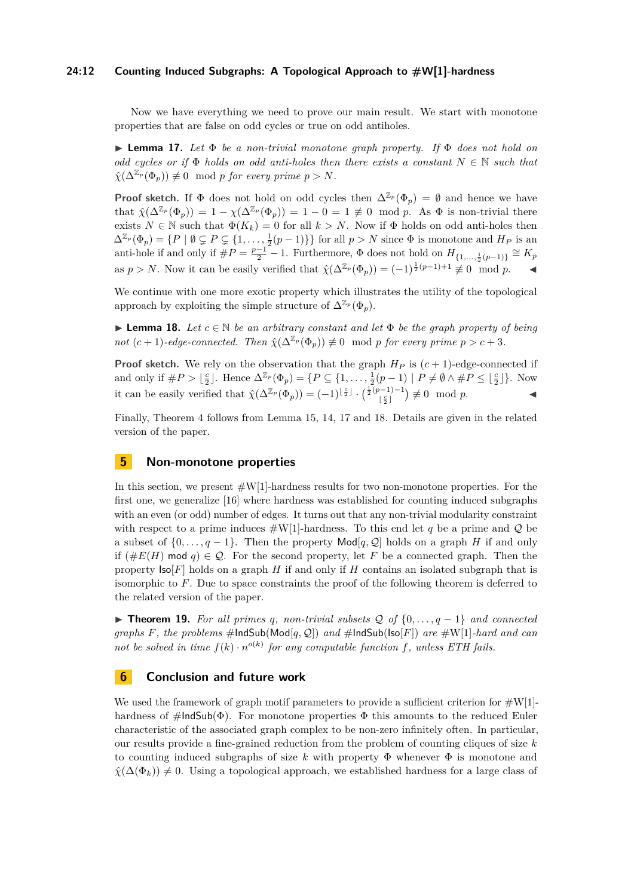## **24:12 Counting Induced Subgraphs: A Topological Approach to #W[1]-hardness**

Now we have everything we need to prove our main result. We start with monotone properties that are false on odd cycles or true on odd antiholes.

<span id="page-11-1"></span>I **Lemma 17.** *Let* Φ *be a non-trivial monotone graph property. If* Φ *does not hold on odd cycles or if*  $\Phi$  *holds on odd anti-holes then there exists a constant*  $N \in \mathbb{N}$  *such that*  $\hat{\chi}(\Delta^{\mathbb{Z}_p}(\Phi_p)) \not\equiv 0 \mod p$  *for every prime*  $p > N$ *.* 

**Proof sketch.** If  $\Phi$  does not hold on odd cycles then  $\Delta^{\mathbb{Z}_p}(\Phi_p) = \emptyset$  and hence we have that  $\hat{\chi}(\Delta^{\mathbb{Z}_p}(\Phi_p)) = 1 - \chi(\Delta^{\mathbb{Z}_p}(\Phi_p)) = 1 - 0 = 1 \not\equiv 0 \mod p$ . As  $\Phi$  is non-trivial there exists  $N \in \mathbb{N}$  such that  $\Phi(K_k) = 0$  for all  $k > N$ . Now if  $\Phi$  holds on odd anti-holes then  $\Delta^{\mathbb{Z}_p}(\Phi_p) = \{P \mid \emptyset \subsetneq P \subsetneq \{1, \ldots, \frac{1}{2}(p-1)\}\}\$  for all  $p > N$  since  $\Phi$  is monotone and  $H_P$  is an anti-hole if and only if  $\#P = \frac{p-1}{2} - 1$ . Furthermore,  $\Phi$  does not hold on  $H_{\{1,\ldots,\frac{1}{2}(p-1)\}} \cong K_p$ as  $p > N$ . Now it can be easily verified that  $\hat{\chi}(\Delta^{\mathbb{Z}_p}(\Phi_p)) = (-1)^{\frac{1}{2}(p-1)+1} \not\equiv 0 \mod p$ .

We continue with one more exotic property which illustrates the utility of the topological approach by exploiting the simple structure of  $\Delta^{\mathbb{Z}_p}(\Phi_p)$ .

<span id="page-11-2"></span>**► Lemma 18.** Let  $c \in \mathbb{N}$  be an arbitrary constant and let  $\Phi$  be the graph property of being *not*  $(c+1)$ -edge-connected. Then  $\hat{\chi}(\Delta^{\mathbb{Z}_p}(\Phi_p)) \not\equiv 0 \mod p$  for every prime  $p > c+3$ .

**Proof sketch.** We rely on the observation that the graph  $H_P$  is  $(c + 1)$ -edge-connected if and only if  $\#P > \lfloor \frac{c}{2} \rfloor$ . Hence  $\Delta^{\mathbb{Z}_p}(\Phi_p) = \{P \subseteq \{1, \ldots, \frac{1}{2}(p-1) \mid P \neq \emptyset \land \#P \leq \lfloor \frac{c}{2} \rfloor\}$ . Now it can be easily verified that  $\hat{\chi}(\Delta^{\mathbb{Z}_p}(\Phi_p)) = (-1)^{\lfloor \frac{e}{2} \rfloor} \cdot {\binom{\frac{1}{2}(p-1)-1}{\lfloor \frac{e}{2} \rfloor}}$  $\left(\begin{matrix}e^{i\frac{\pi}{2}}\end{matrix}\right)^{-1} \not\equiv 0 \mod p.$ 

Finally, Theorem [4](#page-3-2) follows from Lemma [15,](#page-10-0) [14,](#page-9-5) [17](#page-11-1) and [18.](#page-11-2) Details are given in the related version of the paper.

## <span id="page-11-0"></span>**5 Non-monotone properties**

In this section, we present  $\#W[1]$ -hardness results for two non-monotone properties. For the first one, we generalize [\[16\]](#page-13-6) where hardness was established for counting induced subgraphs with an even (or odd) number of edges. It turns out that any non-trivial modularity constraint with respect to a prime induces  $\#W[1]$ -hardness. To this end let q be a prime and Q be a subset of  $\{0, \ldots, q-1\}$ . Then the property Mod[ $q, Q$ ] holds on a graph *H* if and only if  $(\#E(H) \mod q) \in \mathcal{Q}$ . For the second property, let F be a connected graph. Then the property Iso[*F*] holds on a graph *H* if and only if *H* contains an isolated subgraph that is isomorphic to *F*. Due to space constraints the proof of the following theorem is deferred to the related version of the paper.

**► Theorem 19.** For all primes q, non-trivial subsets  $Q$  of  $\{0, \ldots, q-1\}$  and connected *graphs F, the problems*  $\#$ **lndSub**( $Mod[q, Q]$ ) *and*  $\#$ **lndSub**( $Iso[F]$ ) *are*  $\#W[1]$ *-hard and can not be solved in time*  $f(k) \cdot n^{o(k)}$  *for any computable function*  $f$ *, unless ETH fails.* 

## **6 Conclusion and future work**

We used the framework of graph motif parameters to provide a sufficient criterion for  $\#\text{W}[1]$ hardness of  $\#$ IndSub( $\Phi$ ). For monotone properties  $\Phi$  this amounts to the reduced Euler characteristic of the associated graph complex to be non-zero infinitely often. In particular, our results provide a fine-grained reduction from the problem of counting cliques of size *k* to counting induced subgraphs of size *k* with property Φ whenever Φ is monotone and  $\hat{\chi}(\Delta(\Phi_k)) \neq 0$ . Using a topological approach, we established hardness for a large class of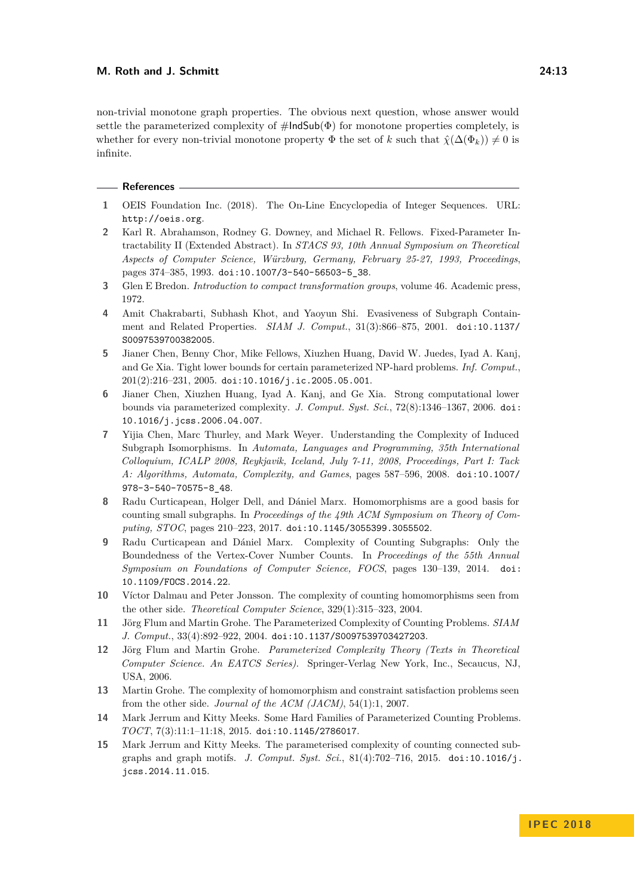## **M. Roth and J. Schmitt 24:13**

non-trivial monotone graph properties. The obvious next question, whose answer would settle the parameterized complexity of  $\#$ IndSub( $\Phi$ ) for monotone properties completely, is whether for every non-trivial monotone property  $\Phi$  the set of *k* such that  $\hat{\chi}(\Delta(\Phi_k)) \neq 0$  is infinite.

#### **References**

- <span id="page-12-0"></span>**1** OEIS Foundation Inc. (2018). The On-Line Encyclopedia of Integer Sequences. URL: <http://oeis.org>.
- <span id="page-12-6"></span>**2** Karl R. Abrahamson, Rodney G. Downey, and Michael R. Fellows. Fixed-Parameter Intractability II (Extended Abstract). In *STACS 93, 10th Annual Symposium on Theoretical Aspects of Computer Science, Würzburg, Germany, February 25-27, 1993, Proceedings*, pages 374-385, 1993. [doi:10.1007/3-540-56503-5\\_38](http://dx.doi.org/10.1007/3-540-56503-5_38).
- <span id="page-12-10"></span>**3** Glen E Bredon. *Introduction to compact transformation groups*, volume 46. Academic press, 1972.
- <span id="page-12-14"></span>**4** Amit Chakrabarti, Subhash Khot, and Yaoyun Shi. Evasiveness of Subgraph Containment and Related Properties. *SIAM J. Comput.*, 31(3):866–875, 2001. [doi:10.1137/](http://dx.doi.org/10.1137/S0097539700382005) [S0097539700382005](http://dx.doi.org/10.1137/S0097539700382005).
- <span id="page-12-12"></span>**5** Jianer Chen, Benny Chor, Mike Fellows, Xiuzhen Huang, David W. Juedes, Iyad A. Kanj, and Ge Xia. Tight lower bounds for certain parameterized NP-hard problems. *Inf. Comput.*, 201(2):216–231, 2005. [doi:10.1016/j.ic.2005.05.001](http://dx.doi.org/10.1016/j.ic.2005.05.001).
- <span id="page-12-13"></span>**6** Jianer Chen, Xiuzhen Huang, Iyad A. Kanj, and Ge Xia. Strong computational lower bounds via parameterized complexity. *J. Comput. Syst. Sci.*, 72(8):1346–1367, 2006. [doi:](http://dx.doi.org/10.1016/j.jcss.2006.04.007) [10.1016/j.jcss.2006.04.007](http://dx.doi.org/10.1016/j.jcss.2006.04.007).
- <span id="page-12-5"></span>**7** Yijia Chen, Marc Thurley, and Mark Weyer. Understanding the Complexity of Induced Subgraph Isomorphisms. In *Automata, Languages and Programming, 35th International Colloquium, ICALP 2008, Reykjavik, Iceland, July 7-11, 2008, Proceedings, Part I: Tack A: Algorithms, Automata, Complexity, and Games*, pages 587–596, 2008. [doi:10.1007/](http://dx.doi.org/10.1007/978-3-540-70575-8_48) [978-3-540-70575-8\\_48](http://dx.doi.org/10.1007/978-3-540-70575-8_48).
- <span id="page-12-7"></span>**8** Radu Curticapean, Holger Dell, and Dániel Marx. Homomorphisms are a good basis for counting small subgraphs. In *Proceedings of the 49th ACM Symposium on Theory of Computing, STOC*, pages 210–223, 2017. [doi:10.1145/3055399.3055502](http://dx.doi.org/10.1145/3055399.3055502).
- <span id="page-12-4"></span>**9** Radu Curticapean and Dániel Marx. Complexity of Counting Subgraphs: Only the Boundedness of the Vertex-Cover Number Counts. In *Proceedings of the 55th Annual Symposium on Foundations of Computer Science, FOCS*, pages 130–139, 2014. [doi:](http://dx.doi.org/10.1109/FOCS.2014.22) [10.1109/FOCS.2014.22](http://dx.doi.org/10.1109/FOCS.2014.22).
- <span id="page-12-2"></span>**10** Víctor Dalmau and Peter Jonsson. The complexity of counting homomorphisms seen from the other side. *Theoretical Computer Science*, 329(1):315–323, 2004.
- <span id="page-12-1"></span>**11** Jörg Flum and Martin Grohe. The Parameterized Complexity of Counting Problems. *SIAM J. Comput.*, 33(4):892–922, 2004. [doi:10.1137/S0097539703427203](http://dx.doi.org/10.1137/S0097539703427203).
- <span id="page-12-11"></span>**12** Jörg Flum and Martin Grohe. *Parameterized Complexity Theory (Texts in Theoretical Computer Science. An EATCS Series)*. Springer-Verlag New York, Inc., Secaucus, NJ, USA, 2006.
- <span id="page-12-3"></span>**13** Martin Grohe. The complexity of homomorphism and constraint satisfaction problems seen from the other side. *Journal of the ACM (JACM)*, 54(1):1, 2007.
- <span id="page-12-9"></span>**14** Mark Jerrum and Kitty Meeks. Some Hard Families of Parameterized Counting Problems. *TOCT*, 7(3):11:1–11:18, 2015. [doi:10.1145/2786017](http://dx.doi.org/10.1145/2786017).
- <span id="page-12-8"></span>**15** Mark Jerrum and Kitty Meeks. The parameterised complexity of counting connected subgraphs and graph motifs. *J. Comput. Syst. Sci.*, 81(4):702–716, 2015. [doi:10.1016/j.](http://dx.doi.org/10.1016/j.jcss.2014.11.015) [jcss.2014.11.015](http://dx.doi.org/10.1016/j.jcss.2014.11.015).